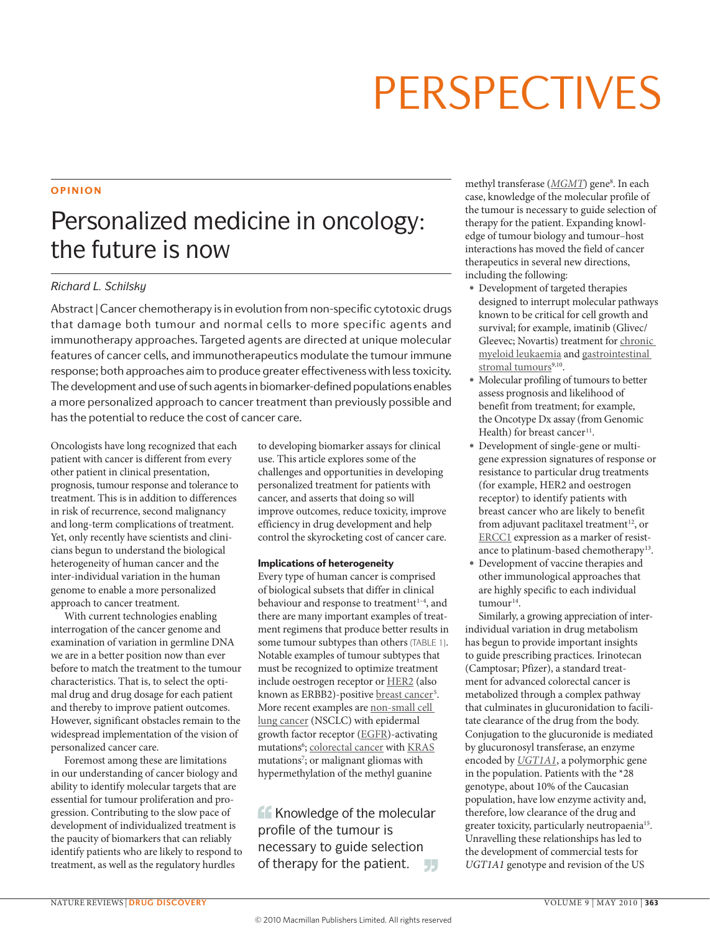# **PERSPECTIVES**

### **OPINION**

## Personalized medicine in oncology: the future is now

### *Richard L. Schilsky*

Abstract | Cancer chemotherapy is in evolution from non-specific cytotoxic drugs that damage both tumour and normal cells to more specific agents and immunotherapy approaches. Targeted agents are directed at unique molecular features of cancer cells, and immunotherapeutics modulate the tumour immune response; both approaches aim to produce greater effectiveness with less toxicity. The development and use of such agents in biomarker-defined populations enables a more personalized approach to cancer treatment than previously possible and has the potential to reduce the cost of cancer care.

Oncologists have long recognized that each patient with cancer is different from every other patient in clinical presentation, prognosis, tumour response and tolerance to treatment. This is in addition to differences in risk of recurrence, second malignancy and long-term complications of treatment. Yet, only recently have scientists and clinicians begun to understand the biological heterogeneity of human cancer and the inter-individual variation in the human genome to enable a more personalized approach to cancer treatment.

With current technologies enabling interrogation of the cancer genome and examination of variation in germline DNA we are in a better position now than ever before to match the treatment to the tumour characteristics. That is, to select the optimal drug and drug dosage for each patient and thereby to improve patient outcomes. However, significant obstacles remain to the widespread implementation of the vision of personalized cancer care.

Foremost among these are limitations in our understanding of cancer biology and ability to identify molecular targets that are essential for tumour proliferation and progression. Contributing to the slow pace of development of individualized treatment is the paucity of biomarkers that can reliably identify patients who are likely to respond to treatment, as well as the regulatory hurdles

to developing biomarker assays for clinical use. This article explores some of the challenges and opportunities in developing personalized treatment for patients with cancer, and asserts that doing so will improve outcomes, reduce toxicity, improve efficiency in drug development and help control the skyrocketing cost of cancer care.

### Implications of heterogeneity

Every type of human cancer is comprised of biological subsets that differ in clinical behaviour and response to treatment<sup>1-4</sup>, and there are many important examples of treatment regimens that produce better results in some tumour subtypes than others (TABLE 1). Notable examples of tumour subtypes that must be recognized to optimize treatment include oestrogen receptor or [HER2](http://www.ncbi.nlm.nih.gov/gene/2064?ordinalpos=4&itool=EntrezSystem2.PEntrez.Gene.Gene_ResultsPanel.Gene_RVDocSum) (also known as ERBB2)-positive <u>breast cancer</u><sup>5</sup>. More recent examples are [non-small cell](http://www.ncbi.nlm.nih.gov/entrez/dispomim.cgi?id=211980)  [lung cancer](http://www.ncbi.nlm.nih.gov/entrez/dispomim.cgi?id=211980) (NSCLC) with epidermal growth factor receptor ([EGFR](http://www.ncbi.nlm.nih.gov/gene/1956?ordinalpos=3&itool=EntrezSystem2.PEntrez.Gene.Gene_ResultsPanel.Gene_RVDocSum))-activating mutations<sup>6</sup>; [colorectal cancer](http://www.ncbi.nlm.nih.gov/entrez/dispomim.cgi?id=114500) with [KRAS](http://www.ncbi.nlm.nih.gov/gene/3845?ordinalpos=4&itool=EntrezSystem2.PEntrez.Gene.Gene_ResultsPanel.Gene_RVDocSum) mutations<sup>7</sup>; or malignant gliomas with hypermethylation of the methyl guanine

**K** Knowledge of the molecular profile of the tumour is necessary to guide selection of therapy for the patient.

methyl transferase (*[MGMT](http://www.ncbi.nlm.nih.gov/gene/4255?ordinalpos=2&itool=EntrezSystem2.PEntrez.Gene.Gene_ResultsPanel.Gene_RVDocSum)*) gene<sup>8</sup>. In each case, knowledge of the molecular profile of the tumour is necessary to guide selection of therapy for the patient. Expanding knowledge of tumour biology and tumour–host interactions has moved the field of cancer therapeutics in several new directions, including the following:

- Development of targeted therapies designed to interrupt molecular pathways known to be critical for cell growth and survival; for example, imatinib (Glivec/ Gleevec; Novartis) treatment for chronic [myeloid leukaemia](http://www.ncbi.nlm.nih.gov/entrez/dispomim.cgi?id=608232) and [gastrointestinal](http://www.ncbi.nlm.nih.gov/entrez/dispomim.cgi?id=606764)  stromal tumours<sup>9,10</sup>.
- • Molecular profiling of tumours to better assess prognosis and likelihood of benefit from treatment; for example, the Oncotype Dx assay (from Genomic Health) for breast cancer<sup>11</sup>.
- • Development of single-gene or multigene expression signatures of response or resistance to particular drug treatments (for example, HER2 and oestrogen receptor) to identify patients with breast cancer who are likely to benefit from adjuvant paclitaxel treatment<sup>12</sup>, or [ERCC1](http://www.ncbi.nlm.nih.gov/gene/2067?ordinalpos=4&itool=EntrezSystem2.PEntrez.Gene.Gene_ResultsPanel.Gene_RVDocSum) expression as a marker of resistance to platinum-based chemotherapy<sup>13</sup>.
- • Development of vaccine therapies and other immunological approaches that are highly specific to each individual tumour<sup>14</sup>.

Similarly, a growing appreciation of interindividual variation in drug metabolism has begun to provide important insights to guide prescribing practices. Irinotecan (Camptosar; Pfizer), a standard treatment for advanced colorectal cancer is metabolized through a complex pathway that culminates in glucuronidation to facilitate clearance of the drug from the body. Conjugation to the glucuronide is mediated by glucuronosyl transferase, an enzyme encoded by *[UGT1A1](http://www.ncbi.nlm.nih.gov/gene/54658?ordinalpos=1&itool=EntrezSystem2.PEntrez.Gene.Gene_ResultsPanel.Gene_RVDocSum)*, a polymorphic gene in the population. Patients with the \*28 genotype, about 10% of the Caucasian population, have low enzyme activity and, therefore, low clearance of the drug and greater toxicity, particularly neutropaenia<sup>15</sup>. Unravelling these relationships has led to the development of commercial tests for *UGT1A1* genotype and revision of the US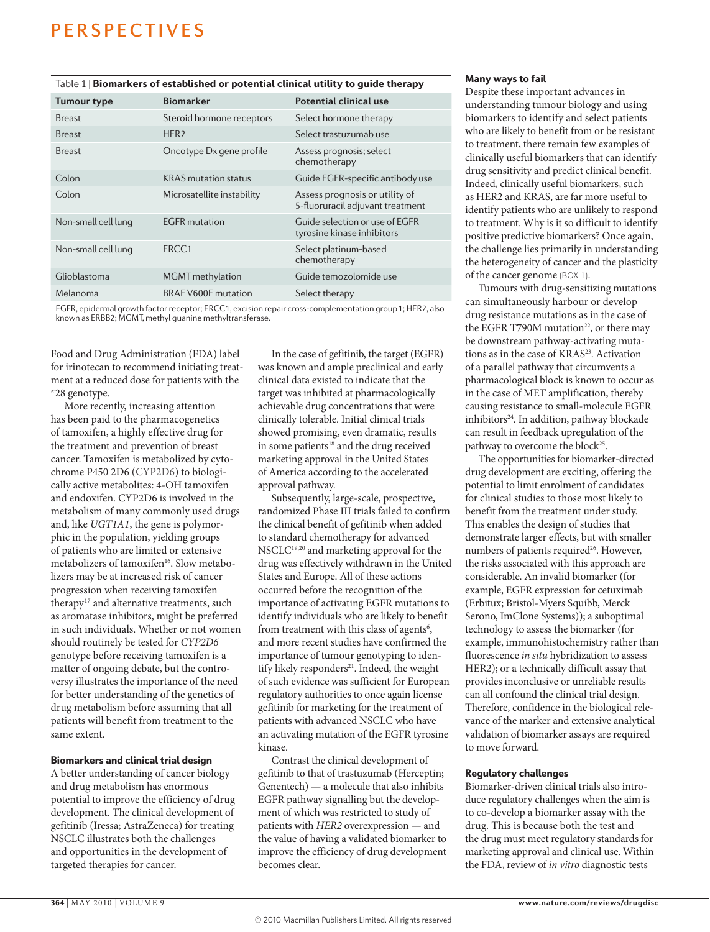### PERSPECTIVES

| Tumour type         | <b>Biomarker</b>            | Potential clinical use                                             |
|---------------------|-----------------------------|--------------------------------------------------------------------|
| <b>Breast</b>       | Steroid hormone receptors   | Select hormone therapy                                             |
| <b>Breast</b>       | HER <sub>2</sub>            | Select trastuzumab use                                             |
| <b>Breast</b>       | Oncotype Dx gene profile    | Assess prognosis; select<br>chemotherapy                           |
| Colon               | <b>KRAS</b> mutation status | Guide EGFR-specific antibody use                                   |
| Colon               | Microsatellite instability  | Assess prognosis or utility of<br>5-fluoruracil adjuvant treatment |
| Non-small cell lung | <b>EGFR</b> mutation        | Guide selection or use of EGFR<br>tyrosine kinase inhibitors       |
| Non-small cell lung | ERCC1                       | Select platinum-based<br>chemotherapy                              |
| Glioblastoma        | <b>MGMT</b> methylation     | Guide temozolomide use                                             |
| Melanoma            | BRAF V600E mutation         | Select therapy                                                     |

EGFR, epidermal growth factor receptor; ERCC1, excision repair cross-complementation group1; HER2, also known as ERBB2; MGMT, methyl guanine methyltransferase.

Food and Drug Administration (FDA) label for irinotecan to recommend initiating treatment at a reduced dose for patients with the \*28 genotype.

More recently, increasing attention has been paid to the pharmacogenetics of tamoxifen, a highly effective drug for the treatment and prevention of breast cancer. Tamoxifen is metabolized by cyto-chrome P450 2D6 ([CYP2D6\)](http://www.ncbi.nlm.nih.gov/gene/1565?ordinalpos=1&itool=EntrezSystem2.PEntrez.Gene.Gene_ResultsPanel.Gene_RVDocSum) to biologically active metabolites: 4-OH tamoxifen and endoxifen. CYP2D6 is involved in the metabolism of many commonly used drugs and, like *UGT1A1*, the gene is polymorphic in the population, yielding groups of patients who are limited or extensive metabolizers of tamoxifen<sup>16</sup>. Slow metabolizers may be at increased risk of cancer progression when receiving tamoxifen therapy<sup>17</sup> and alternative treatments, such as aromatase inhibitors, might be preferred in such individuals. Whether or not women should routinely be tested for *CYP2D6* genotype before receiving tamoxifen is a matter of ongoing debate, but the controversy illustrates the importance of the need for better understanding of the genetics of drug metabolism before assuming that all patients will benefit from treatment to the same extent.

### Biomarkers and clinical trial design

A better understanding of cancer biology and drug metabolism has enormous potential to improve the efficiency of drug development. The clinical development of gefitinib (Iressa; AstraZeneca) for treating NSCLC illustrates both the challenges and opportunities in the development of targeted therapies for cancer.

In the case of gefitinib, the target (EGFR) was known and ample preclinical and early clinical data existed to indicate that the target was inhibited at pharmacologically achievable drug concentrations that were clinically tolerable. Initial clinical trials showed promising, even dramatic, results in some patients<sup>18</sup> and the drug received marketing approval in the United States of America according to the accelerated approval pathway.

Subsequently, large-scale, prospective, randomized Phase III trials failed to confirm the clinical benefit of gefitinib when added to standard chemotherapy for advanced NSCLC19,20 and marketing approval for the drug was effectively withdrawn in the United States and Europe. All of these actions occurred before the recognition of the importance of activating EGFR mutations to identify individuals who are likely to benefit from treatment with this class of agents<sup>6</sup>, and more recent studies have confirmed the importance of tumour genotyping to identify likely responders<sup>21</sup>. Indeed, the weight of such evidence was sufficient for European regulatory authorities to once again license gefitinib for marketing for the treatment of patients with advanced NSCLC who have an activating mutation of the EGFR tyrosine kinase.

Contrast the clinical development of gefitinib to that of trastuzumab (Herceptin; Genentech) — a molecule that also inhibits EGFR pathway signalling but the development of which was restricted to study of patients with *HER2* overexpression — and the value of having a validated biomarker to improve the efficiency of drug development becomes clear.

### Many ways to fail

Despite these important advances in understanding tumour biology and using biomarkers to identify and select patients who are likely to benefit from or be resistant to treatment, there remain few examples of clinically useful biomarkers that can identify drug sensitivity and predict clinical benefit. Indeed, clinically useful biomarkers, such as HER2 and KRAS, are far more useful to identify patients who are unlikely to respond to treatment. Why is it so difficult to identify positive predictive biomarkers? Once again, the challenge lies primarily in understanding the heterogeneity of cancer and the plasticity of the cancer genome (BOX 1).

Tumours with drug-sensitizing mutations can simultaneously harbour or develop drug resistance mutations as in the case of the EGFR T790M mutation<sup>22</sup>, or there may be downstream pathway-activating mutations as in the case of KRAS<sup>23</sup>. Activation of a parallel pathway that circumvents a pharmacological block is known to occur as in the case of MET amplification, thereby causing resistance to small-molecule EGFR inhibitors<sup>24</sup>. In addition, pathway blockade can result in feedback upregulation of the pathway to overcome the block<sup>25</sup>.

The opportunities for biomarker-directed drug development are exciting, offering the potential to limit enrolment of candidates for clinical studies to those most likely to benefit from the treatment under study. This enables the design of studies that demonstrate larger effects, but with smaller numbers of patients required<sup>26</sup>. However, the risks associated with this approach are considerable. An invalid biomarker (for example, EGFR expression for cetuximab (Erbitux; Bristol-Myers Squibb, Merck Serono, ImClone Systems)); a suboptimal technology to assess the biomarker (for example, immunohistochemistry rather than fluorescence *in situ* hybridization to assess HER2); or a technically difficult assay that provides inconclusive or unreliable results can all confound the clinical trial design. Therefore, confidence in the biological relevance of the marker and extensive analytical validation of biomarker assays are required to move forward.

### Regulatory challenges

Biomarker-driven clinical trials also introduce regulatory challenges when the aim is to co-develop a biomarker assay with the drug. This is because both the test and the drug must meet regulatory standards for marketing approval and clinical use. Within the FDA, review of *in vitro* diagnostic tests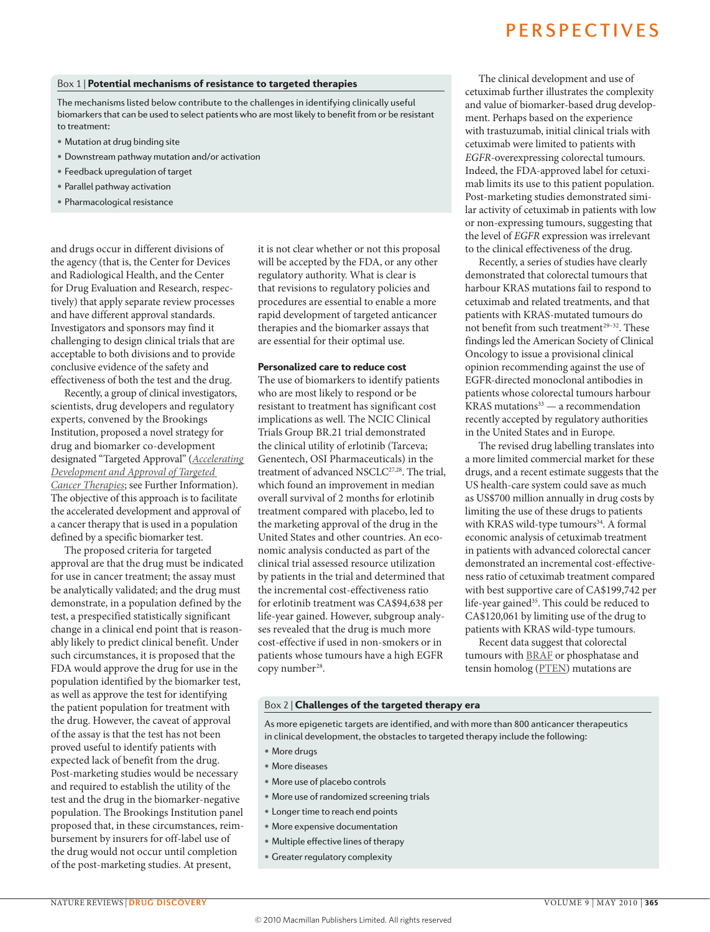### **PFRSPFCTIVES**

### Box 1 | Potential mechanisms of resistance to targeted therapies

The mechanisms listed below contribute to the challenges in identifying clinically useful biomarkers that can be used to select patients who are most likely to benefit from or be resistant to treatment:

- • Mutation at drug binding site
- • Downstream pathway mutation and/or activation
- Feedback upregulation of target
- • Parallel pathway activation
- Pharmacological resistance

and drugs occur in different divisions of the agency (that is, the Center for Devices and Radiological Health, and the Center for Drug Evaluation and Research, respectively) that apply separate review processes and have different approval standards. Investigators and sponsors may find it challenging to design clinical trials that are acceptable to both divisions and to provide conclusive evidence of the safety and effectiveness of both the test and the drug.

Recently, a group of clinical investigators, scientists, drug developers and regulatory experts, convened by the Brookings Institution, proposed a novel strategy for drug and biomarker co-development designated "Targeted Approval" (*[Accelerating](http://www.brookings.edu/~/media/Files/events/2009/0914_clinical_cancer_research/Panel3 ApresFINAL.pdf)  [Development and Approval of Targeted](http://www.brookings.edu/~/media/Files/events/2009/0914_clinical_cancer_research/Panel3 ApresFINAL.pdf)  [Cancer Therapies](http://www.brookings.edu/~/media/Files/events/2009/0914_clinical_cancer_research/Panel3 ApresFINAL.pdf)*; see Further Information). The objective of this approach is to facilitate the accelerated development and approval of a cancer therapy that is used in a population defined by a specific biomarker test.

The proposed criteria for targeted approval are that the drug must be indicated for use in cancer treatment; the assay must be analytically validated; and the drug must demonstrate, in a population defined by the test, a prespecified statistically significant change in a clinical end point that is reasonably likely to predict clinical benefit. Under such circumstances, it is proposed that the FDA would approve the drug for use in the population identified by the biomarker test, as well as approve the test for identifying the patient population for treatment with the drug. However, the caveat of approval of the assay is that the test has not been proved useful to identify patients with expected lack of benefit from the drug. Post-marketing studies would be necessary and required to establish the utility of the test and the drug in the biomarker-negative population. The Brookings Institution panel proposed that, in these circumstances, reimbursement by insurers for off-label use of the drug would not occur until completion of the post-marketing studies. At present,

it is not clear whether or not this proposal will be accepted by the FDA, or any other regulatory authority. What is clear is that revisions to regulatory policies and procedures are essential to enable a more rapid development of targeted anticancer therapies and the biomarker assays that are essential for their optimal use.

### personalized care to reduce cost

The use of biomarkers to identify patients who are most likely to respond or be resistant to treatment has significant cost implications as well. The NCIC Clinical Trials Group BR.21 trial demonstrated the clinical utility of erlotinib (Tarceva; Genentech, OSI Pharmaceuticals) in the treatment of advanced NSCLC<sup>27,28</sup>. The trial, which found an improvement in median overall survival of 2 months for erlotinib treatment compared with placebo, led to the marketing approval of the drug in the United States and other countries. An economic analysis conducted as part of the clinical trial assessed resource utilization by patients in the trial and determined that the incremental cost-effectiveness ratio for erlotinib treatment was CA\$94,638 per life-year gained. However, subgroup analyses revealed that the drug is much more cost-effective if used in non-smokers or in patients whose tumours have a high EGFR copy number<sup>28</sup>.

The clinical development and use of cetuximab further illustrates the complexity and value of biomarker-based drug development. Perhaps based on the experience with trastuzumab, initial clinical trials with cetuximab were limited to patients with *EGFR*-overexpressing colorectal tumours. Indeed, the FDA-approved label for cetuximab limits its use to this patient population. Post-marketing studies demonstrated similar activity of cetuximab in patients with low or non-expressing tumours, suggesting that the level of *EGFR* expression was irrelevant to the clinical effectiveness of the drug.

Recently, a series of studies have clearly demonstrated that colorectal tumours that harbour KRAS mutations fail to respond to cetuximab and related treatments, and that patients with KRAS-mutated tumours do not benefit from such treatment<sup>29-32</sup>. These findings led the American Society of Clinical Oncology to issue a provisional clinical opinion recommending against the use of EGFR-directed monoclonal antibodies in patients whose colorectal tumours harbour  $KRAS$  mutations<sup>33</sup> — a recommendation recently accepted by regulatory authorities in the United States and in Europe.

The revised drug labelling translates into a more limited commercial market for these drugs, and a recent estimate suggests that the US health-care system could save as much as US\$700 million annually in drug costs by limiting the use of these drugs to patients with KRAS wild-type tumours<sup>34</sup>. A formal economic analysis of cetuximab treatment in patients with advanced colorectal cancer demonstrated an incremental cost-effectiveness ratio of cetuximab treatment compared with best supportive care of CA\$199,742 per life-year gained<sup>35</sup>. This could be reduced to CA\$120,061 by limiting use of the drug to patients with KRAS wild-type tumours.

Recent data suggest that colorectal tumours with [BRAF](http://www.ncbi.nlm.nih.gov/gene/673?ordinalpos=5&itool=EntrezSystem2.PEntrez.Gene.Gene_ResultsPanel.Gene_RVDocSum) or phosphatase and tensin homolog [\(PTEN\)](http://www.ncbi.nlm.nih.gov/gene/5728?ordinalpos=2&itool=EntrezSystem2.PEntrez.Gene.Gene_ResultsPanel.Gene_RVDocSum) mutations are

### Box 2 | Challenges of the targeted therapy era

As more epigenetic targets are identified, and with more than 800 anticancer therapeutics in clinical development, the obstacles to targeted therapy include the following:

- • More drugs
- • More diseases
- • More use of placebo controls
- • More use ofrandomized screening trials
- • Longertime to reach end points
- • More expensive documentation
- Multiple effective lines of therapy
- Greater regulatory complexity